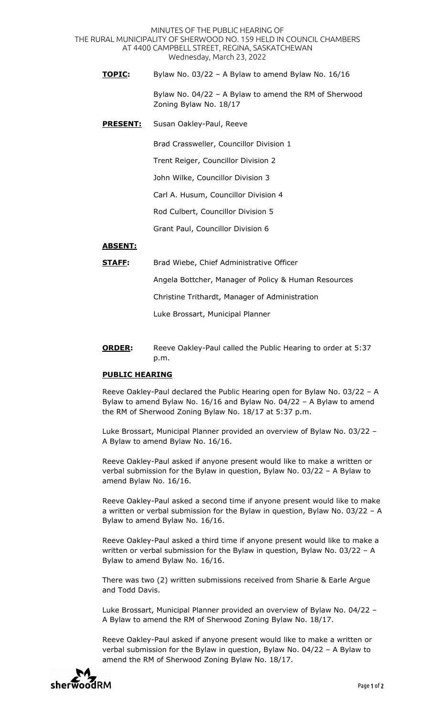MINUTES OF THE PUBLIC HEARING OF THE RURAL MUNICIPALITY OF SHERWOOD NO. 159 HELD IN COUNCIL CHAMBERS AT 4400 CAMPBELL STREET, REGINA, SASKATCHEWAN Wednesday, March 23, 2022

**TOPIC:** Bylaw No. 03/22 – A Bylaw to amend Bylaw No. 16/16

 Bylaw No. 04/22 – A Bylaw to amend the RM of Sherwood Zoning Bylaw No. 18/17

**PRESENT:** Susan Oakley-Paul, Reeve

Brad Crassweller, Councillor Division 1

Trent Reiger, Councillor Division 2

John Wilke, Councillor Division 3

Carl A. Husum, Councillor Division 4

Rod Culbert, Councillor Division 5

Grant Paul, Councillor Division 6

## **ABSENT:**

**STAFF:** Brad Wiebe, Chief Administrative Officer

Angela Bottcher, Manager of Policy & Human Resources

Christine Trithardt, Manager of Administration

Luke Brossart, Municipal Planner

**ORDER:** Reeve Oakley-Paul called the Public Hearing to order at 5:37 p.m.

## **PUBLIC HEARING**

Reeve Oakley-Paul declared the Public Hearing open for Bylaw No. 03/22 – A Bylaw to amend Bylaw No. 16/16 and Bylaw No. 04/22 – A Bylaw to amend the RM of Sherwood Zoning Bylaw No. 18/17 at 5:37 p.m.

Luke Brossart, Municipal Planner provided an overview of Bylaw No. 03/22 – A Bylaw to amend Bylaw No. 16/16.

Reeve Oakley-Paul asked if anyone present would like to make a written or verbal submission for the Bylaw in question, Bylaw No. 03/22 – A Bylaw to amend Bylaw No. 16/16.

Reeve Oakley-Paul asked a second time if anyone present would like to make a written or verbal submission for the Bylaw in question, Bylaw No. 03/22 – A Bylaw to amend Bylaw No. 16/16.

Reeve Oakley-Paul asked a third time if anyone present would like to make a written or verbal submission for the Bylaw in question, Bylaw No. 03/22 – A Bylaw to amend Bylaw No. 16/16.

There was two (2) written submissions received from Sharie & Earle Argue and Todd Davis.

Luke Brossart, Municipal Planner provided an overview of Bylaw No. 04/22 – A Bylaw to amend the RM of Sherwood Zoning Bylaw No. 18/17.

Reeve Oakley-Paul asked if anyone present would like to make a written or verbal submission for the Bylaw in question, Bylaw No. 04/22 – A Bylaw to amend the RM of Sherwood Zoning Bylaw No. 18/17.